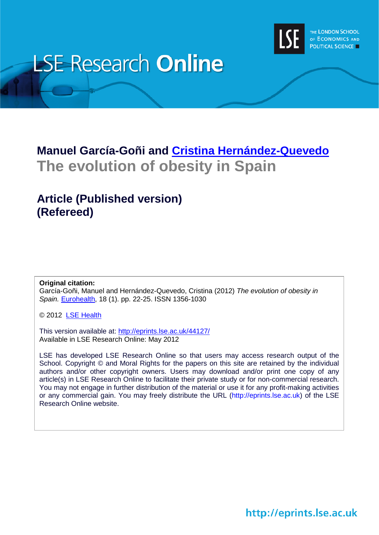

# **LSE Research Online**

# **Manuel García-Goñi and [Cristina Hernández-Quevedo](http://www2.lse.ac.uk/researchAndExpertise/Experts/profile.aspx?KeyValue=C.Hernandez-Quevedo@lse.ac.uk) The evolution of obesity in Spain**

## **Article (Published version) (Refereed)**

### **Original citation:**

García-Goñi, Manuel and Hernández-Quevedo, Cristina (2012) *The evolution of obesity in Spain.* [Eurohealth,](http://www.euro.who.int/en/who-we-are/partners/observatory/publications/eurohealth) 18 (1). pp. 22-25. ISSN 1356-1030

© 2012 [LSE Health](http://www2.lse.ac.uk/LSEHealthAndSocialCare/aboutUs/LSEHealth/home.aspx)

This version available at:<http://eprints.lse.ac.uk/44127/> Available in LSE Research Online: May 2012

LSE has developed LSE Research Online so that users may access research output of the School. Copyright © and Moral Rights for the papers on this site are retained by the individual authors and/or other copyright owners. Users may download and/or print one copy of any article(s) in LSE Research Online to facilitate their private study or for non-commercial research. You may not engage in further distribution of the material or use it for any profit-making activities or any commercial gain. You may freely distribute the URL (http://eprints.lse.ac.uk) of the LSE Research Online website.

http://eprints.lse.ac.uk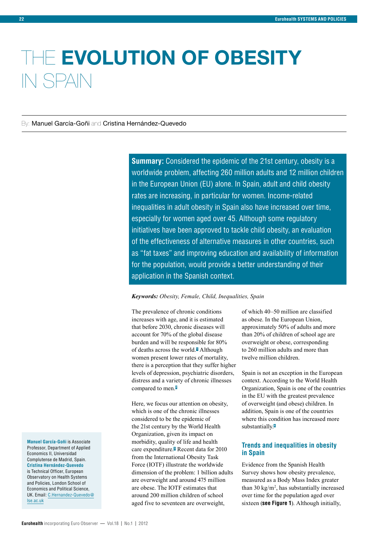# THE **EVOLUTION OF OBESITY** IN SPAIN

By: Manuel García-Goñi and Cristina Hernández-Quevedo

**Summary:** Considered the epidemic of the 21st century, obesity is a worldwide problem, affecting 260 million adults and 12 million children in the European Union (EU) alone. In Spain, adult and child obesity rates are increasing, in particular for women. Income-related inequalities in adult obesity in Spain also have increased over time, especially for women aged over 45. Although some regulatory initiatives have been approved to tackle child obesity, an evaluation of the effectiveness of alternative measures in other countries, such as "fat taxes" and improving education and availability of information for the population, would provide a better understanding of their application in the Spanish context.

#### *Keywords: Obesity, Female, Child, Inequalities, Spain*

The prevalence of chronic conditions increases with age, and it is estimated that before 2030, chronic diseases will account for 70% of the global disease burden and will be responsible for 80% of deaths across the world.**<sup>1</sup>** Although women present lower rates of mortality, there is a perception that they suffer higher levels of depression, psychiatric disorders, distress and a variety of chronic illnesses compared to men.**<sup>2</sup>**

Here, we focus our attention on obesity, which is one of the chronic illnesses considered to be the epidemic of the 21st century by the World Health Organization, given its impact on morbidity, quality of life and health care expenditure.**<sup>3</sup>** Recent data for 2010 from the International Obesity Task Force (IOTF) illustrate the worldwide dimension of the problem: 1 billion adults are overweight and around 475 million are obese. The IOTF estimates that around 200 million children of school aged five to seventeen are overweight,

of which 40–50 million are classified as obese. In the European Union, approximately 50% of adults and more than 20% of children of school age are overweight or obese, corresponding to 260 million adults and more than twelve million children.

Spain is not an exception in the European context. According to the World Health Organization, Spain is one of the countries in the EU with the greatest prevalence of overweight (and obese) children. In addition, Spain is one of the countries where this condition has increased more substantially.**<sup>4</sup>**

### **Trends and inequalities in obesity in Spain**

Evidence from the Spanish Health Survey shows how obesity prevalence, measured as a Body Mass Index greater than 30  $\text{kg/m}^2$ , has substantially increased over time for the population aged over sixteen (**see Figure 1**). Although initially,

**Manuel García-Goñi** is Associate Professor, Department of Applied Economics II, Universidad Complutense de Madrid, Spain. **Cristina Hernández-Quevedo** is Technical Officer, European Observatory on Health Systems and Policies, London School of Economics and Political Science, UK. Email: [C.Hernandez-Quevedo@](mailto:C.Hernandez-Quevedo%40lse.ac.uk?subject=) [lse.ac.uk](mailto:C.Hernandez-Quevedo%40lse.ac.uk?subject=)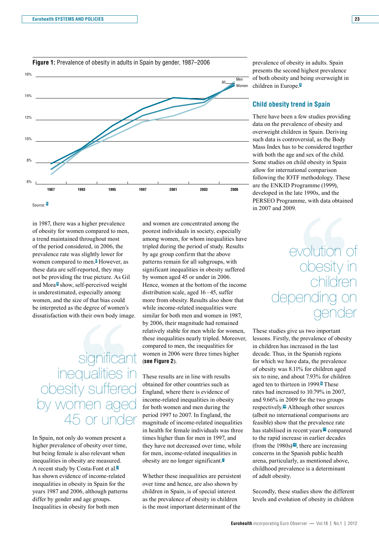

in 1987, there was a higher prevalence of obesity for women compared to men, a trend maintained throughout most of the period considered, in 2006, the prevalence rate was slightly lower for women compared to men.**<sup>5</sup>** However, as these data are self-reported, they may not be providing the true picture. As Gil and Mora<sup>®</sup> show, self-perceived weight is underestimated, especially among women, and the size of that bias could be interpreted as the degree of women's dissatisfaction with their own body image.

# Fig. 1<br>
Significant<br>
Dignificant<br>
Dignificant<br>
Dignificant<br>
Dignificant<br>
Dignificant<br>
Dignificant<br>
Dignificant<br>
Dignificant<br>
Dignificant<br>
Dignificant<br>
Dignificant<br>
Dignificant<br>
Dignificant<br>
Dignificant<br>
Dignificant<br>
Dignif significant nequaliti obesity suffered by women aged 45 or under

In Spain, not only do women present a higher prevalence of obesity over time, but being female is also relevant when inequalities in obesity are measured. A recent study by Costa-Font et al.**<sup>7</sup>** has shown evidence of income-related inequalities in obesity in Spain for the years 1987 and 2006, although patterns differ by gender and age groups. Inequalities in obesity for both men

and women are concentrated among the poorest individuals in society, especially among women, for whom inequalities have tripled during the period of study. Results by age group confirm that the above patterns remain for all subgroups, with significant inequalities in obesity suffered by women aged 45 or under in 2006. Hence, women at the bottom of the income distribution scale, aged 16–45, suffer more from obesity. Results also show that while income-related inequalities were similar for both men and women in 1987, by 2006, their magnitude had remained relatively stable for men while for women, these inequalities nearly tripled. Moreover, compared to men, the inequalities for women in 2006 were three times higher (**see Figure 2**).

These results are in line with results obtained for other countries such as England, where there is evidence of income-related inequalities in obesity for both women and men during the period 1997 to 2007. In England, the magnitude of income-related inequalities in health for female individuals was three times higher than for men in 1997, and they have not decreased over time, while for men, income-related inequalities in obesity are no longer significant.**<sup>7</sup>**

Whether these inequalities are persistent over time and hence, are also shown by children in Spain, is of special interest as the prevalence of obesity in children is the most important determinant of the

prevalence of obesity in adults. Spain presents the second highest prevalence of both obesity and being overweight in children in Europe.**<sup>8</sup>**

### **Child obesity trend in Spain**

There have been a few studies providing data on the prevalence of obesity and overweight children in Spain. Deriving such data is controversial, as the Body Mass Index has to be considered together with both the age and sex of the child. Some studies on child obesity in Spain allow for international comparison following the IOTF methodology. These are the ENKID Programme (1999), developed in the late 1990s, and the PERSEO Programme, with data obtained in 2007 and 2009.

# 9.<br>
evolution of<br>
obesity in<br>
children<br>
pending on<br>
gender<br>
we us two important<br>
the prevalence of chesity. evolution obesity in children ener gender

These studies give us two important lessons. Firstly, the prevalence of obesity in children has increased in the last decade. Thus, in the Spanish regions for which we have data, the prevalence of obesity was 8.11% for children aged six to nine, and about 7.93% for children aged ten to thirteen in 1999.**<sup>9</sup>** These rates had increased to 10.79% in 2007, and 9.66% in 2009 for the two groups respectively.**10** Although other sources (albeit no international comparisons are feasible) show that the prevalence rate has stabilised in recent years **<sup>11</sup>** compared to the rapid increase in earlier decades (from the 1980s) **<sup>12</sup>**, there are increasing concerns in the Spanish public health arena, particularly, as mentioned above, childhood prevalence is a determinant of adult obesity.

Secondly, these studies show the different levels and evolution of obesity in children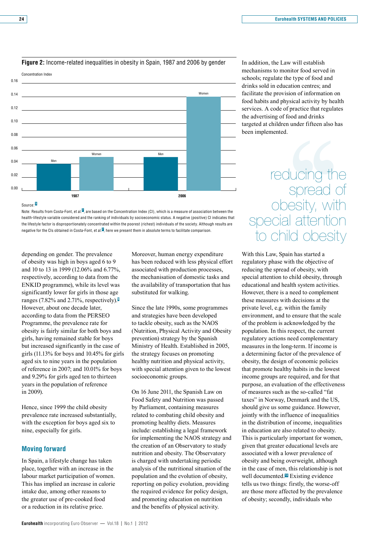

### **Figure 2:** Income-related inequalities in obesity in Spain, 1987 and 2006 by gender

Source: **<sup>5</sup>**

Note: Results from Costa-Font, et al. **<sup>7</sup>** , are based on the Concentration Index (CI), which is a measure of association between the health-lifestyle variable considered and the ranking of individuals by socioeconomic status. A negative (positive) CI indicates that the lifestyle factor is disproportionately concentrated within the poorest (richest) individuals of the society. Although results are negative for the CIs obtained in Costa-Font, et al. **<sup>7</sup>** , here we present them in absolute terms to facilitate comparison.

depending on gender. The prevalence of obesity was high in boys aged 6 to 9 and 10 to 13 in 1999 (12.06% and 6.77%, respectively, according to data from the ENKID programme), while its level was significantly lower for girls in those age ranges (7.82% and 2.71%, respectively).**<sup>9</sup>** However, about one decade later, according to data from the PERSEO Programme, the prevalence rate for obesity is fairly similar for both boys and girls, having remained stable for boys but increased significantly in the case of girls (11.13% for boys and 10.45% for girls aged six to nine years in the population of reference in 2007; and 10.01% for boys and 9.29% for girls aged ten to thirteen years in the population of reference in 2009).

Hence, since 1999 the child obesity prevalence rate increased substantially, with the exception for boys aged six to nine, especially for girls.

### **Moving forward**

In Spain, a lifestyle change has taken place, together with an increase in the labour market participation of women. This has implied an increase in calorie intake due, among other reasons to the greater use of pre-cooked food or a reduction in its relative price.

Moreover, human energy expenditure has been reduced with less physical effort associated with production processes, the mechanisation of domestic tasks and the availability of transportation that has substituted for walking.

Since the late 1990s, some programmes and strategies have been developed to tackle obesity, such as the NAOS (Nutrition, Physical Activity and Obesity prevention) strategy by the Spanish Ministry of Health. Established in 2005, the strategy focuses on promoting healthy nutrition and physical activity, with special attention given to the lowest socioeconomic groups.

On 16 June 2011, the Spanish Law on Food Safety and Nutrition was passed by Parliament, containing measures related to combating child obesity and promoting healthy diets. Measures include: establishing a legal framework for implementing the NAOS strategy and the creation of an Observatory to study nutrition and obesity. The Observatory is charged with undertaking periodic analysis of the nutritional situation of the population and the evolution of obesity, reporting on policy evolution, providing the required evidence for policy design, and promoting education on nutrition and the benefits of physical activity.

In addition, the Law will establish mechanisms to monitor food served in schools; regulate the type of food and drinks sold in education centres; and facilitate the provision of information on food habits and physical activity by health services. A code of practice that regulates the advertising of food and drinks targeted at children under fifteen also has been implemented.

# ed.<br>Colucing the<br>Spread of<br>Desity, with<br>al attention<br>Tild obesity<br>Spain has started a reducing the spread of obesity, with becial attention child obesity

With this Law, Spain has started a regulatory phase with the objective of reducing the spread of obesity, with special attention to child obesity, through educational and health system activities. However, there is a need to complement these measures with decisions at the private level, e.g. within the family environment, and to ensure that the scale of the problem is acknowledged by the population. In this respect, the current regulatory actions need complementary measures in the long-term. If income is a determining factor of the prevalence of obesity, the design of economic policies that promote healthy habits in the lowest income groups are required, and for that purpose, an evaluation of the effectiveness of measures such as the so-called "fat taxes" in Norway, Denmark and the US, should give us some guidance. However, jointly with the influence of inequalities in the distribution of income, inequalities in education are also related to obesity. This is particularly important for women, given that greater educational levels are associated with a lower prevalence of obesity and being overweight, although in the case of men, this relationship is not well documented.**13** Existing evidence tells us two things: firstly, the worse-off are those more affected by the prevalence of obesity; secondly, individuals who